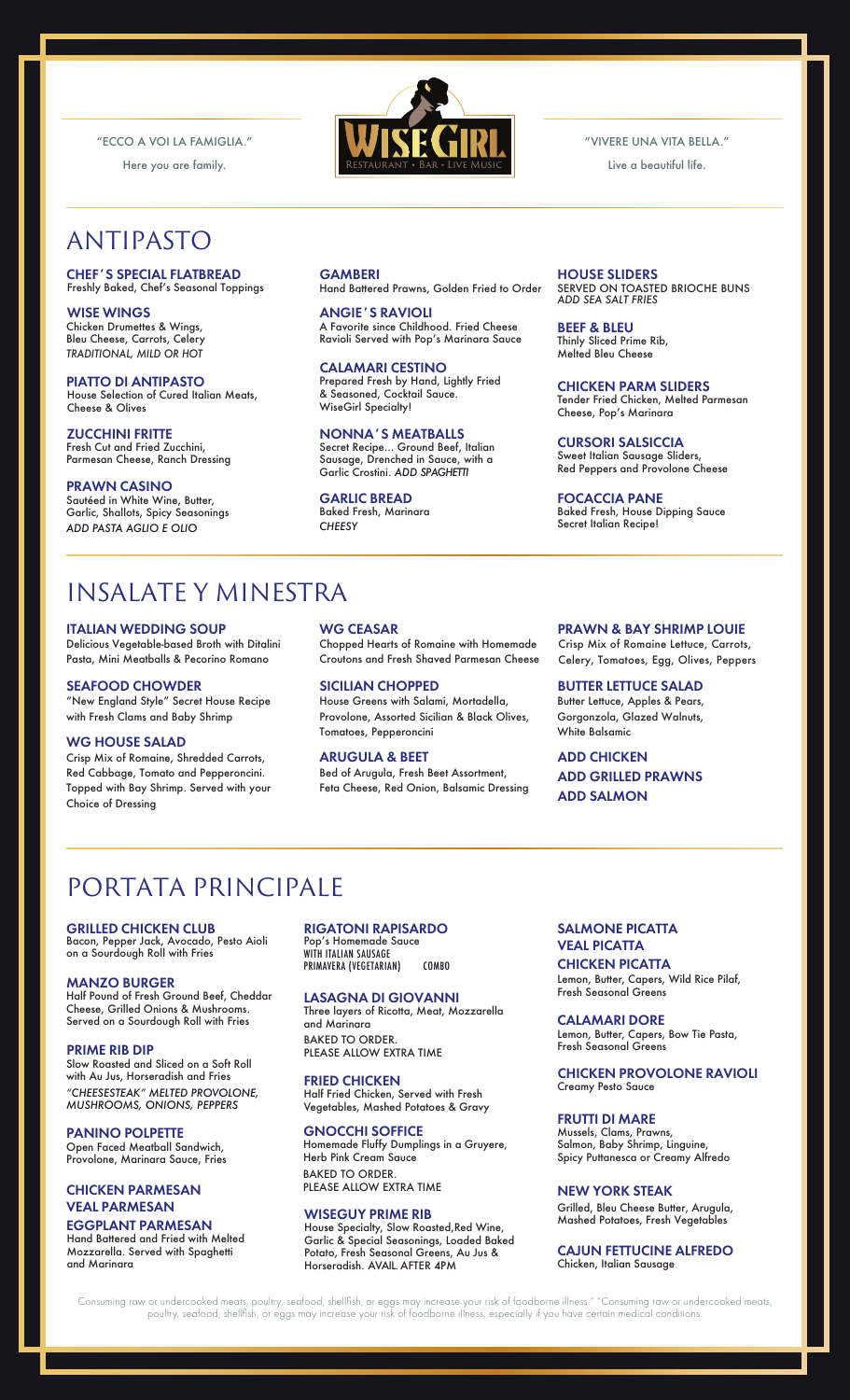"ECCO A VOI LA FAMIGLIA."

Here you are family.

# ANTIPASTO

#### CHEF'S SPECIAL FLATBREAD Freshly Baked, Chef's Seasonal Toppings

WISE WINGS Chicken Drumettes & Wings, Bleu Cheese, Carrots, Celery *TRADITIONAL, MILD OR HOT*

PIATTO DI ANTIPASTO House Selection of Cured Italian Meats, Cheese & Olives

ZUCCHINI FRITTE Fresh Cut and Fried Zucchini, Parmesan Cheese, Ranch Dressing

#### PRAWN CASINO

Sautéed in White Wine, Butter, Garlic, Shallots, Spicy Seasonings *ADD PASTA AGLIO E OLIO*

# Restaurant • Bar • Live Music

VIVERE UNA VITA BELLA."

Live a beautiful life.

**GAMBERI** Hand Battered Prawns, Golden Fried to Order

ANGIE'S RAVIOLI A Favorite since Childhood. Fried Cheese Ravioli Served with Pop's Marinara Sauce

CALAMARI CESTINO Prepared Fresh by Hand, Lightly Fried & Seasoned, Cocktail Sauce. WiseGirl Specialty!

NONNA'S MEATBALLS Secret Recipe... Ground Beef, Italian Sausage, Drenched in Sauce, with a Garlic Crostini. *ADD SPAGHETTI*

### GARLIC BREAD

Baked Fresh, Marinara *CHEESY*

HOUSE SLIDERS SERVED ON TOASTED BRIOCHE BUNS *ADD SEA SALT FRIES* 

BEEF & BLEU Thinly Sliced Prime Rib, Melted Bleu Cheese

CHICKEN PARM SLIDERS Tender Fried Chicken, Melted Parmesan Cheese, Pop's Marinara

CURSORI SALSICCIA Sweet Italian Sausage Sliders, Red Peppers and Provolone Cheese

FOCACCIA PANE Baked Fresh, House Dipping Sauce Secret Italian Recipe!

# INSALATE Y MINESTRA

ITALIAN WEDDING SOUP Delicious Vegetable-based Broth with Ditalini Pasta, Mini Meatballs & Pecorino Romano

SEAFOOD CHOWDER "New England Style" Secret House Recipe with Fresh Clams and Baby Shrimp

#### WG HOUSE SALAD

Crisp Mix of Romaine, Shredded Carrots, Red Cabbage, Tomato and Pepperoncini. Topped with Bay Shrimp. Served with your Choice of Dressing

WG CEASAR Chopped Hearts of Romaine with Homemade Croutons and Fresh Shaved Parmesan Cheese

SICILIAN CHOPPED House Greens with Salami, Mortadella, Provolone, Assorted Sicilian & Black Olives, Tomatoes, Pepperoncini

ARUGULA & BEET Bed of Arugula, Fresh Beet Assortment, Feta Cheese, Red Onion, Balsamic Dressing

#### PRAWN & BAY SHRIMP LOUIE

Crisp Mix of Romaine Lettuce, Carrots, Celery, Tomatoes, Egg, Olives, Peppers

BUTTER LETTUCE SALAD Butter Lettuce, Apples & Pears, Gorgonzola, Glazed Walnuts, White Balsamic

ADD CHICKEN ADD GRILLED PRAWNS ADD SALMON

# PORTATA PRINCIPALE

#### GRILLED CHICKEN CLUB

Bacon, Pepper Jack, Avocado, Pesto Aioli on a Sourdough Roll with Fries

#### MANZO BURGER

Half Pound of Fresh Ground Beef, Cheddar Cheese, Grilled Onions & Mushrooms. Served on a Sourdough Roll with Fries

#### PRIME RIB DIP

Slow Roasted and Sliced on a Soft Roll with Au Jus, Horseradish and Fries *"CHEESESTEAK" MELTED PROVOLONE, MUSHROOMS, ONIONS, PEPPERS*

PANINO POLPETTE Open Faced Meatball Sandwich, Provolone, Marinara Sauce, Fries

#### CHICKEN PARMESAN VEAL PARMESAN

#### EGGPLANT PARMESAN

Hand Battered and Fried with Melted Mozzarella. Served with Spaghetti and Marinara

#### RIGATONI RAPISARDO

Pop's Homemade Sauce WITH ITALIAN SAUSAGE PRIMAVERA (VEGETARIAN) COMBO

#### LASAGNA DI GIOVANNI

BAKED TO ORDER. PLEASE ALLOW EXTRA TIME Three layers of Ricotta, Meat, Mozzarella and Marinara

#### FRIED CHICKEN

Half Fried Chicken, Served with Fresh Vegetables, Mashed Potatoes & Gravy

#### GNOCCHI SOFFICE

BAKED TO ORDER. Homemade Fluffy Dumplings in a Gruyere, Herb Pink Cream Sauce

## PLEASE ALLOW EXTRA TIME

WISEGUY PRIME RIB House Specialty, Slow Roasted,Red Wine,

Garlic & Special Seasonings, Loaded Baked Potato, Fresh Seasonal Greens, Au Jus & Horseradish. AVAIL. AFTER 4PM

#### SALMONE PICATTA VEAL PICATTA

CHICKEN PICATTA Lemon, Butter, Capers, Wild Rice Pilaf, Fresh Seasonal Greens

CALAMARI DORE Lemon, Butter, Capers, Bow Tie Pasta, Fresh Seasonal Greens

#### CHICKEN PROVOLONE RAVIOLI Creamy Pesto Sauce

FRUTTI DI MARE Mussels, Clams, Prawns, Salmon, Baby Shrimp, Linguine, Spicy Puttanesca or Creamy Alfredo

#### NEW YORK STEAK

Grilled, Bleu Cheese Butter, Arugula, Mashed Potatoes, Fresh Vegetables

#### CAJUN FETTUCINE ALFREDO Chicken, Italian Sausage

Consuming raw or undercooked meats, poultry, seafood, shellfish, or eggs may increase your risk of foodborne illness." "Consuming raw or undercooked meats, poultry, seafood, shellfish, or eggs may increase your risk of foodborne illness, especially if you have certain medical conditions.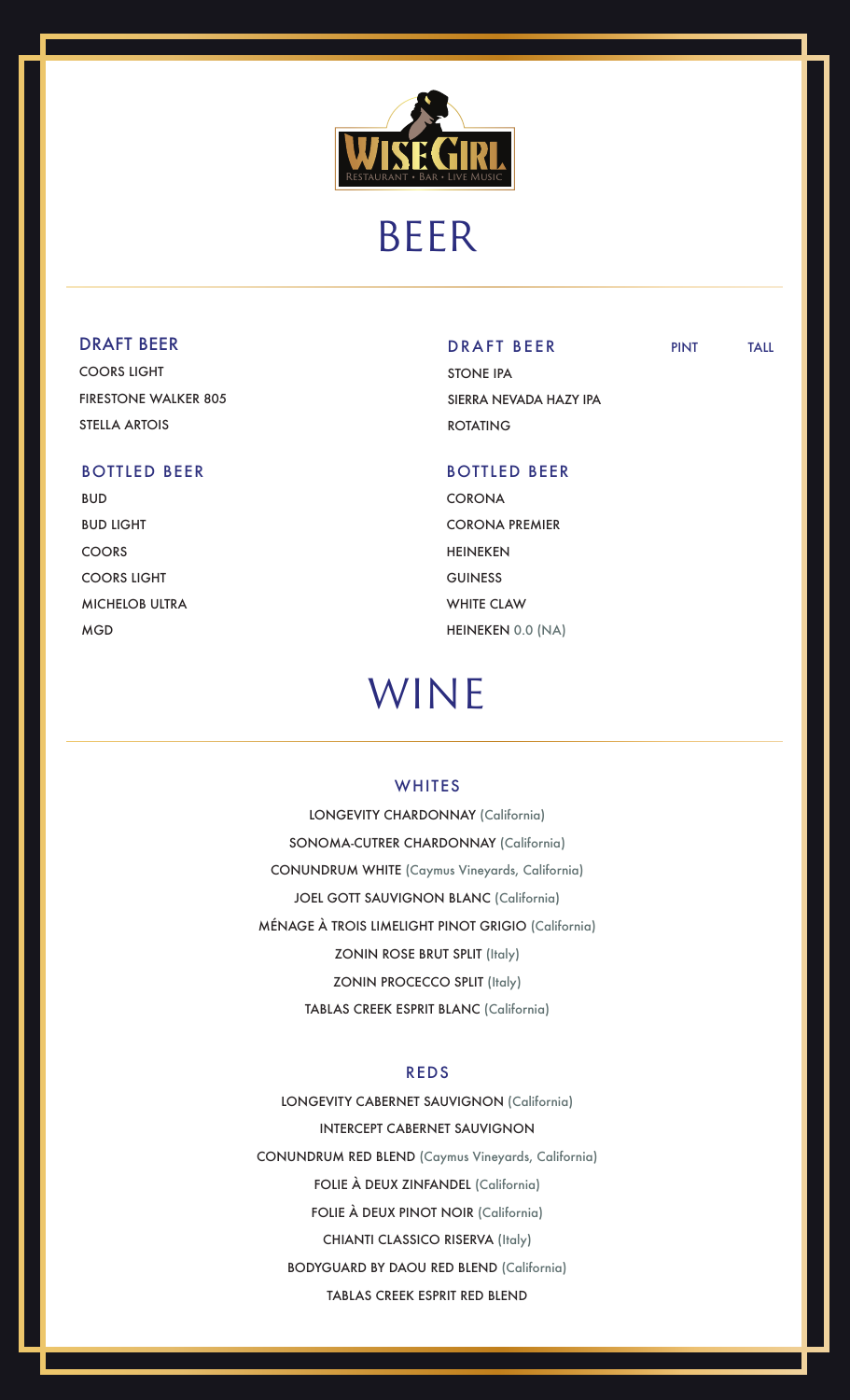

# BEER

#### DRAFT BEER

COORS LIGHT FIRESTONE WALKER 805 STELLA ARTOIS

#### BOTTLED BEER

BUD BUD LIGHT COORS COORS LIGHT MICHELOB ULTRA MGD

#### DRAFT BEER PINT TALL

STONE IPA SIERRA NEVADA HAZY IPA ROTATING

#### BOTTLED BEER

**CORONA** CORONA PREMIER HEINEKEN GUINESS WHITE CLAW HEINEKEN 0.0 (NA)

# WINE

#### **WHITES**

LONGEVITY CHARDONNAY (California) SONOMA-CUTRER CHARDONNAY (California) CONUNDRUM WHITE (Caymus Vineyards, California) JOEL GOTT SAUVIGNON BLANC (California) MÉNAGE À TROIS LIMELIGHT PINOT GRIGIO (California) ZONIN ROSE BRUT SPLIT (Italy) ZONIN PROCECCO SPLIT (Italy) TABLAS CREEK ESPRIT BLANC (California)

#### REDS

LONGEVITY CABERNET SAUVIGNON (California) INTERCEPT CABERNET SAUVIGNON CONUNDRUM RED BLEND (Caymus Vineyards, California) FOLIE À DEUX ZINFANDEL (California) FOLIE À DEUX PINOT NOIR (California) CHIANTI CLASSICO RISERVA (Italy) BODYGUARD BY DAOU RED BLEND (California) TABLAS CREEK ESPRIT RED BLEND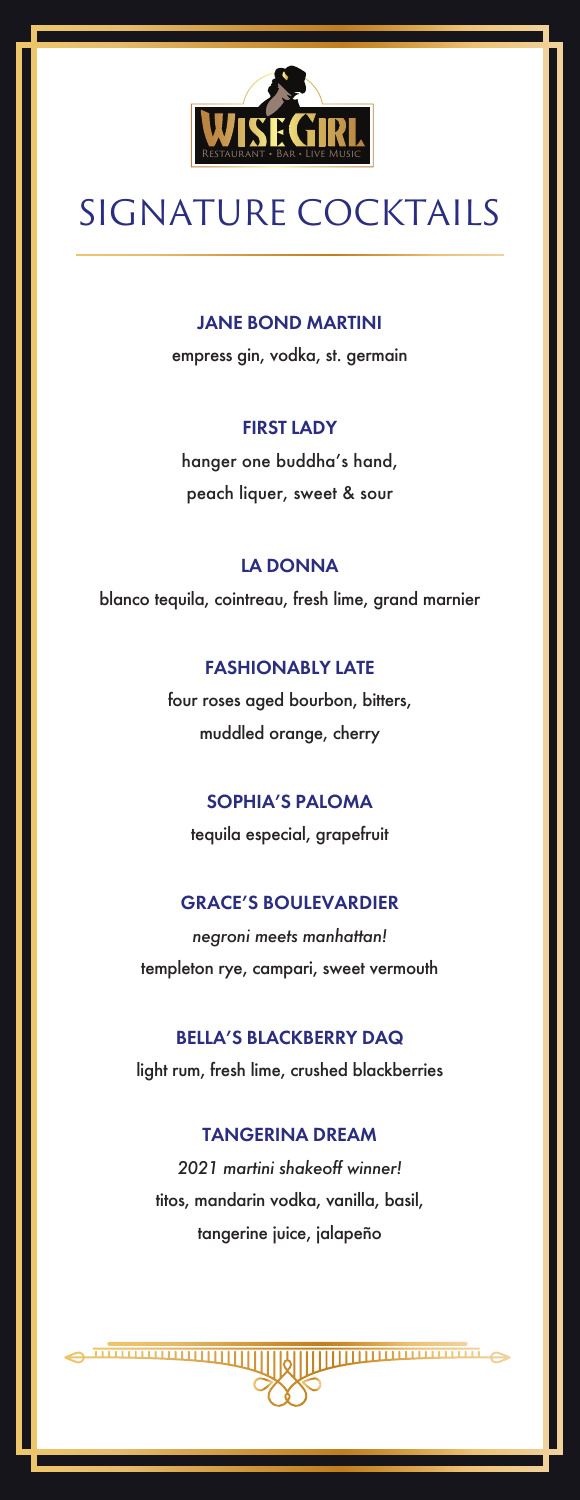

# SIGNATURE COCKTAILS

#### JANE BOND MARTINI

empress gin, vodka, st. germain

#### FIRST LADY

hanger one buddha's hand, peach liquer, sweet & sour

#### LA DONNA

blanco tequila, cointreau, fresh lime, grand marnier

#### FASHIONABLY LATE

four roses aged bourbon, bitters, muddled orange, cherry

#### SOPHIA'S PALOMA

tequila especial, grapefruit

#### GRACE'S BOULEVARDIER

*negroni meets manhattan!*  templeton rye, campari, sweet vermouth

#### BELLA'S BLACKBERRY DAQ

light rum, fresh lime, crushed blackberries

#### TANGERINA DREAM

*2021 martini shakeoff winner!* titos, mandarin vodka, vanilla, basil, tangerine juice, jalapeño

**mmmmmmmmm**